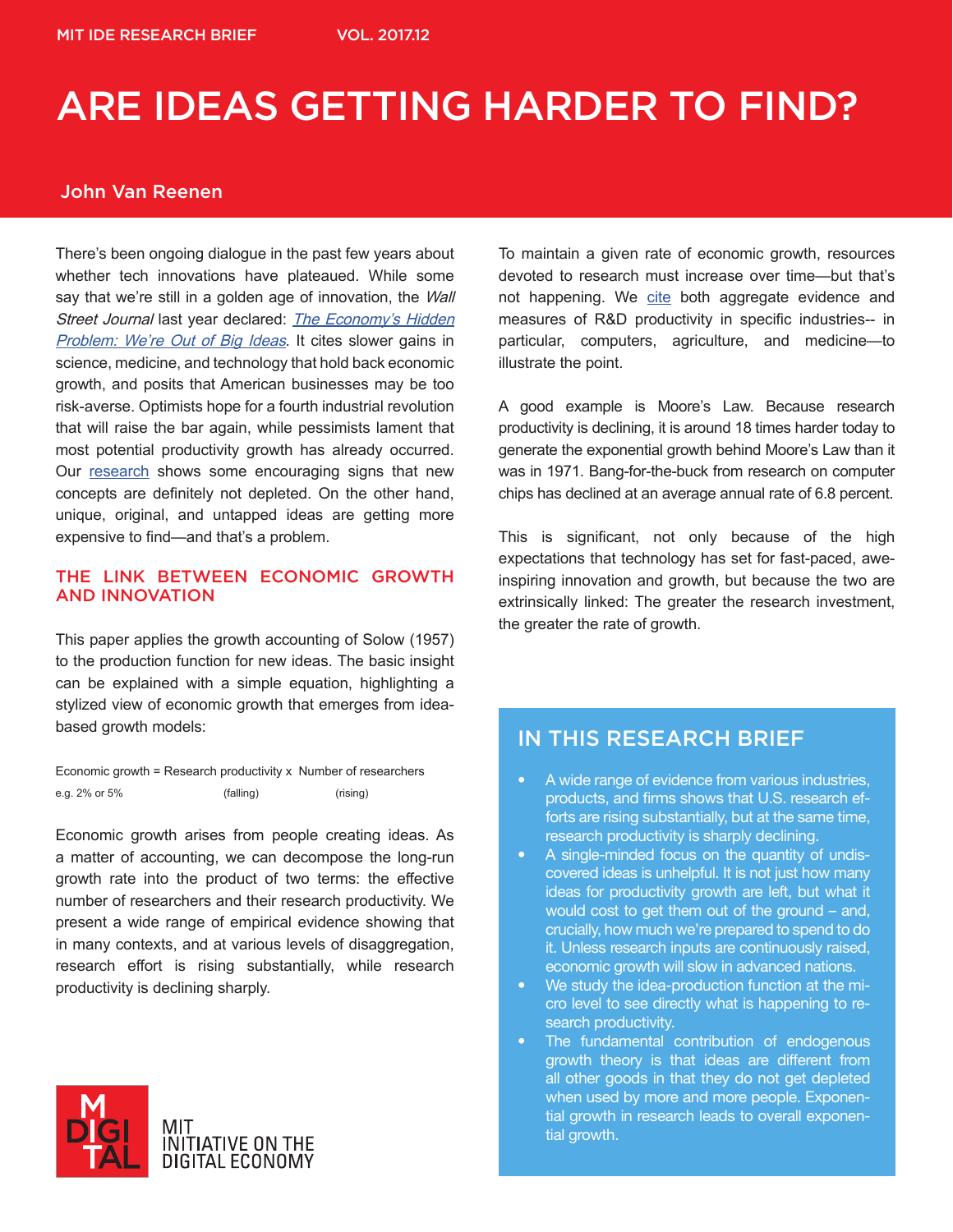### John Van Reenen

There's been ongoing dialogue in the past few years about whether tech innovations have plateaued. While some say that we're still in a golden age of innovation, the Wall Street Journal last year declared: The Economy's Hidden Problem: We're Out of Big Ideas. It cites slower gains in science, medicine, and technology that hold back economic growth, and posits that American businesses may be too risk-averse. Optimists hope for a fourth industrial revolution that will raise the bar again, while pessimists lament that most potential productivity growth has already occurred. Our research shows some encouraging signs that new concepts are definitely not depleted. On the other hand, unique, original, and untapped ideas are getting more expensive to find—and that's a problem.

#### THE LINK BETWEEN ECONOMIC GROWTH AND INNOVATION

This paper applies the growth accounting of Solow (1957) to the production function for new ideas. The basic insight can be explained with a simple equation, highlighting a stylized view of economic growth that emerges from ideabased growth models:

Economic growth = Research productivity x Number of researchers e.g. 2% or 5% (falling) (rising)

Economic growth arises from people creating ideas. As a matter of accounting, we can decompose the long-run growth rate into the product of two terms: the effective number of researchers and their research productivity. We present a wide range of empirical evidence showing that in many contexts, and at various levels of disaggregation, research effort is rising substantially, while research productivity is declining sharply.



To maintain a given rate of economic growth, resources devoted to research must increase over time—but that's not happening. We cite both aggregate evidence and measures of R&D productivity in specific industries-- in particular, computers, agriculture, and medicine—to illustrate the point.

A good example is Moore's Law. Because research productivity is declining, it is around 18 times harder today to generate the exponential growth behind Moore's Law than it was in 1971. Bang-for-the-buck from research on computer chips has declined at an average annual rate of 6.8 percent.

This is significant, not only because of the high expectations that technology has set for fast-paced, aweinspiring innovation and growth, but because the two are extrinsically linked: The greater the research investment, the greater the rate of growth.

## IN THIS RESEARCH BRIEF

- A wide range of evidence from various industries, products, and firms shows that U.S. research efforts are rising substantially, but at the same time, research productivity is sharply declining.
- A single-minded focus on the quantity of undiscovered ideas is unhelpful. It is not just how many ideas for productivity growth are left, but what it would cost to get them out of the ground – and, crucially, how much we're prepared to spend to do it. Unless research inputs are continuously raised, economic growth will slow in advanced nations.
- We study the idea-production function at the micro level to see directly what is happening to research productivity.
- The fundamental contribution of endogenous growth theory is that ideas are different from all other goods in that they do not get depleted when used by more and more people. Exponential growth in research leads to overall exponential growth.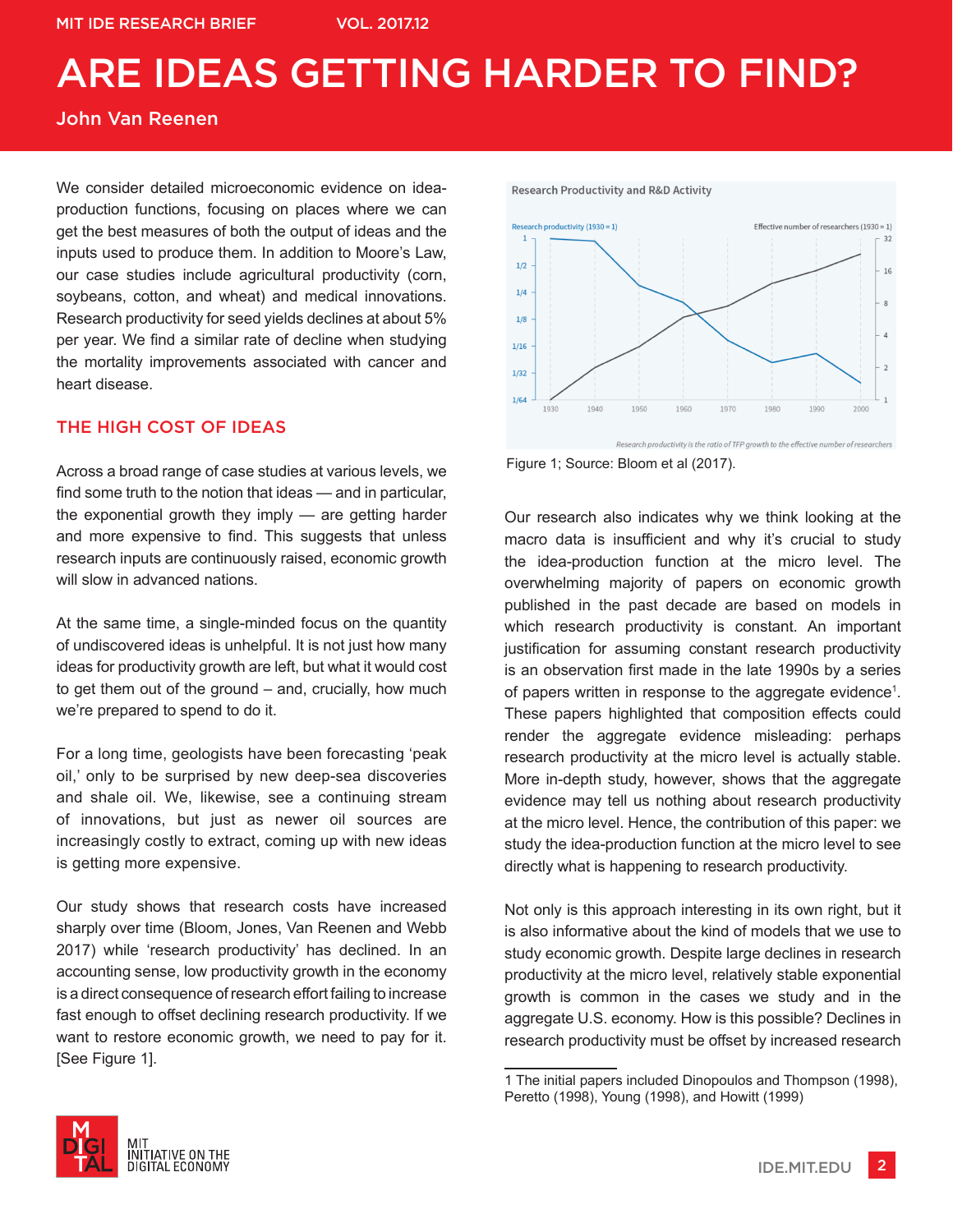### John Van Reenen

We consider detailed microeconomic evidence on ideaproduction functions, focusing on places where we can get the best measures of both the output of ideas and the inputs used to produce them. In addition to Moore's Law, our case studies include agricultural productivity (corn, soybeans, cotton, and wheat) and medical innovations. Research productivity for seed yields declines at about 5% per year. We find a similar rate of decline when studying the mortality improvements associated with cancer and heart disease.

### THE HIGH COST OF IDEAS

Across a broad range of case studies at various levels, we find some truth to the notion that ideas — and in particular, the exponential growth they imply — are getting harder and more expensive to find. This suggests that unless research inputs are continuously raised, economic growth will slow in advanced nations.

At the same time, a single-minded focus on the quantity of undiscovered ideas is unhelpful. It is not just how many ideas for productivity growth are left, but what it would cost to get them out of the ground – and, crucially, how much we're prepared to spend to do it.

For a long time, geologists have been forecasting 'peak oil,' only to be surprised by new deep-sea discoveries and shale oil. We, likewise, see a continuing stream of innovations, but just as newer oil sources are increasingly costly to extract, coming up with new ideas is getting more expensive.

Our study shows that research costs have increased sharply over time (Bloom, Jones, Van Reenen and Webb 2017) while 'research productivity' has declined. In an accounting sense, low productivity growth in the economy is a direct consequence of research effort failing to increase fast enough to offset declining research productivity. If we want to restore economic growth, we need to pay for it. [See Figure 1].

**Research Productivity and R&D Activity** 



Figure 1; Source: Bloom et al (2017).

Our research also indicates why we think looking at the macro data is insufficient and why it's crucial to study the idea-production function at the micro level. The overwhelming majority of papers on economic growth published in the past decade are based on models in which research productivity is constant. An important justification for assuming constant research productivity is an observation first made in the late 1990s by a series of papers written in response to the aggregate evidence<sup>1</sup>. These papers highlighted that composition effects could render the aggregate evidence misleading: perhaps research productivity at the micro level is actually stable. More in-depth study, however, shows that the aggregate evidence may tell us nothing about research productivity at the micro level. Hence, the contribution of this paper: we study the idea-production function at the micro level to see directly what is happening to research productivity.

Not only is this approach interesting in its own right, but it is also informative about the kind of models that we use to study economic growth. Despite large declines in research productivity at the micro level, relatively stable exponential growth is common in the cases we study and in the aggregate U.S. economy. How is this possible? Declines in research productivity must be offset by increased research



<sup>1</sup> The initial papers included Dinopoulos and Thompson (1998), Peretto (1998), Young (1998), and Howitt (1999)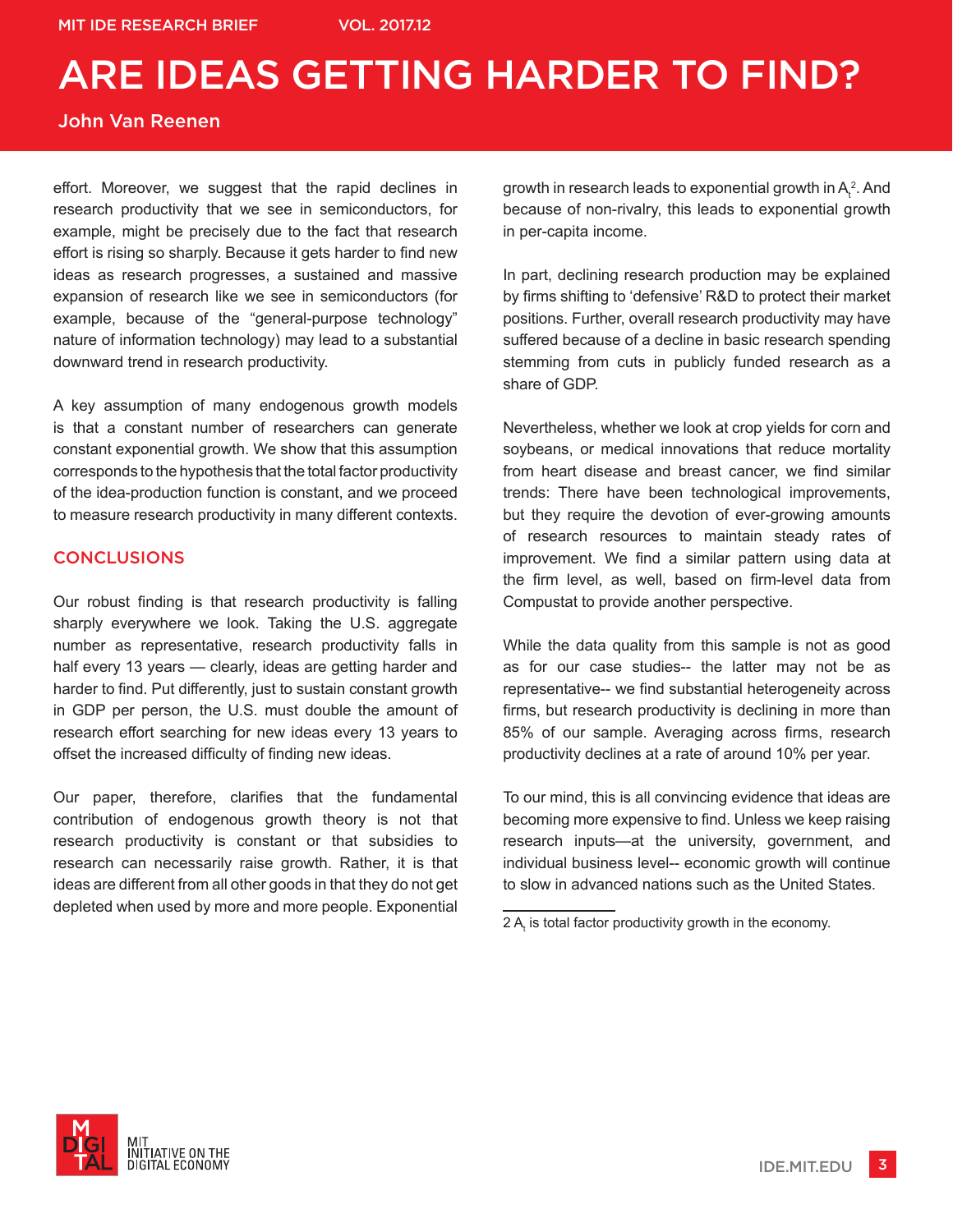## John Van Reenen

effort. Moreover, we suggest that the rapid declines in research productivity that we see in semiconductors, for example, might be precisely due to the fact that research effort is rising so sharply. Because it gets harder to find new ideas as research progresses, a sustained and massive expansion of research like we see in semiconductors (for example, because of the "general-purpose technology" nature of information technology) may lead to a substantial downward trend in research productivity.

A key assumption of many endogenous growth models is that a constant number of researchers can generate constant exponential growth. We show that this assumption corresponds to the hypothesis that the total factor productivity of the idea-production function is constant, and we proceed to measure research productivity in many different contexts.

### **CONCLUSIONS**

Our robust finding is that research productivity is falling sharply everywhere we look. Taking the U.S. aggregate number as representative, research productivity falls in half every 13 years — clearly, ideas are getting harder and harder to find. Put differently, just to sustain constant growth in GDP per person, the U.S. must double the amount of research effort searching for new ideas every 13 years to offset the increased difficulty of finding new ideas.

Our paper, therefore, clarifies that the fundamental contribution of endogenous growth theory is not that research productivity is constant or that subsidies to research can necessarily raise growth. Rather, it is that ideas are different from all other goods in that they do not get depleted when used by more and more people. Exponential

growth in research leads to exponential growth in  $\mathsf{A}_\mathsf{t}^{\mathsf{2}}.$  And because of non-rivalry, this leads to exponential growth in per-capita income.

In part, declining research production may be explained by firms shifting to 'defensive' R&D to protect their market positions. Further, overall research productivity may have suffered because of a decline in basic research spending stemming from cuts in publicly funded research as a share of GDP.

Nevertheless, whether we look at crop yields for corn and soybeans, or medical innovations that reduce mortality from heart disease and breast cancer, we find similar trends: There have been technological improvements, but they require the devotion of ever-growing amounts of research resources to maintain steady rates of improvement. We find a similar pattern using data at the firm level, as well, based on firm-level data from Compustat to provide another perspective.

While the data quality from this sample is not as good as for our case studies-- the latter may not be as representative-- we find substantial heterogeneity across firms, but research productivity is declining in more than 85% of our sample. Averaging across firms, research productivity declines at a rate of around 10% per year.

To our mind, this is all convincing evidence that ideas are becoming more expensive to find. Unless we keep raising research inputs—at the university, government, and individual business level-- economic growth will continue to slow in advanced nations such as the United States.



<sup>2</sup>  $\mathsf{A}_{\mathsf{t}}$  is total factor productivity growth in the economy.